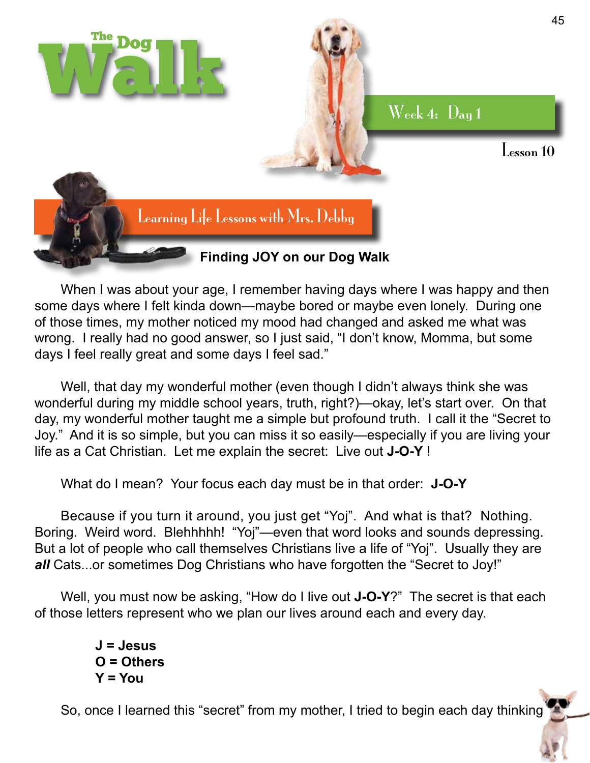

When I was about your age, I remember having days where I was happy and then some days where I felt kinda down—maybe bored or maybe even lonely. During one of those times, my mother noticed my mood had changed and asked me what was wrong. I really had no good answer, so I just said, "I don't know, Momma, but some days I feel really great and some days I feel sad."

Well, that day my wonderful mother (even though I didn't always think she was wonderful during my middle school years, truth, right?)—okay, let's start over. On that day, my wonderful mother taught me a simple but profound truth. I call it the "Secret to Joy." And it is so simple, but you can miss it so easily—especially if you are living your life as a Cat Christian. Let me explain the secret: Live out **J-O-Y** !

What do I mean? Your focus each day must be in that order: **J-O-Y**

Because if you turn it around, you just get "Yoj". And what is that? Nothing. Boring. Weird word. Blehhhhh! "Yoj"—even that word looks and sounds depressing. But a lot of people who call themselves Christians live a life of "Yoj". Usually they are *all* Cats...or sometimes Dog Christians who have forgotten the "Secret to Joy!"

Well, you must now be asking, "How do I live out **J-O-Y**?" The secret is that each of those letters represent who we plan our lives around each and every day.

```
J = Jesus
O = Others
Y = You
```
So, once I learned this "secret" from my mother, I tried to begin each day thinking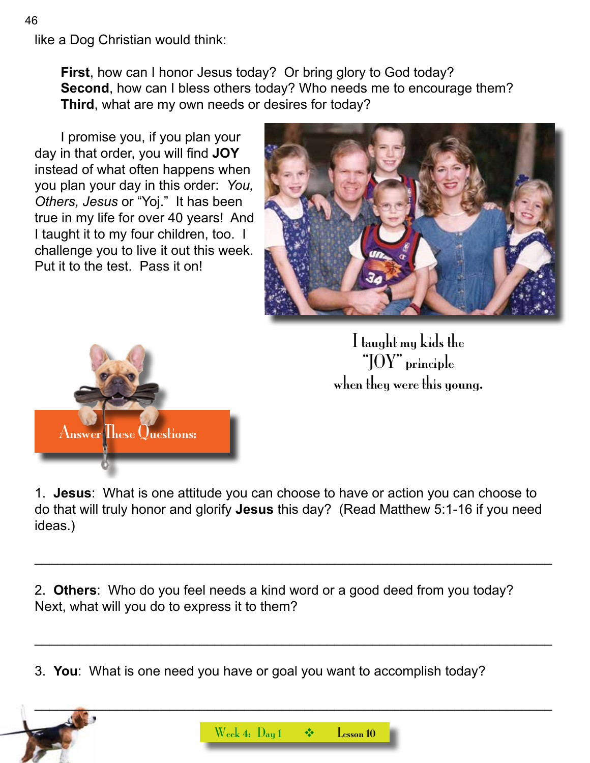**First**, how can I honor Jesus today? Or bring glory to God today? **Second**, how can I bless others today? Who needs me to encourage them? **Third**, what are my own needs or desires for today?

I promise you, if you plan your day in that order, you will find **JOY** instead of what often happens when you plan your day in this order: *You, Others, Jesus* or "Yoj." It has been true in my life for over 40 years! And I taught it to my four children, too. I challenge you to live it out this week. Put it to the test. Pass it on!





I taught my kids the "JOY" principle when they were this young.

1. **Jesus**: What is one attitude you can choose to have or action you can choose to do that will truly honor and glorify **Jesus** this day? (Read Matthew 5:1-16 if you need ideas.)

\_\_\_\_\_\_\_\_\_\_\_\_\_\_\_\_\_\_\_\_\_\_\_\_\_\_\_\_\_\_\_\_\_\_\_\_\_\_\_\_\_\_\_\_\_\_\_\_\_\_\_\_\_\_\_\_\_\_\_\_\_\_\_\_\_\_\_\_\_

\_\_\_\_\_\_\_\_\_\_\_\_\_\_\_\_\_\_\_\_\_\_\_\_\_\_\_\_\_\_\_\_\_\_\_\_\_\_\_\_\_\_\_\_\_\_\_\_\_\_\_\_\_\_\_\_\_\_\_\_\_\_\_\_\_\_\_\_\_

2. **Others**: Who do you feel needs a kind word or a good deed from you today? Next, what will you do to express it to them?

3. **You**: What is one need you have or goal you want to accomplish today?



\_\_\_\_\_\_\_\_\_\_\_\_\_\_\_\_\_\_\_\_\_\_\_\_\_\_\_\_\_\_\_\_\_\_\_\_\_\_\_\_\_\_\_\_\_\_\_\_\_\_\_\_\_\_\_\_\_\_\_\_\_\_\_\_\_\_\_\_\_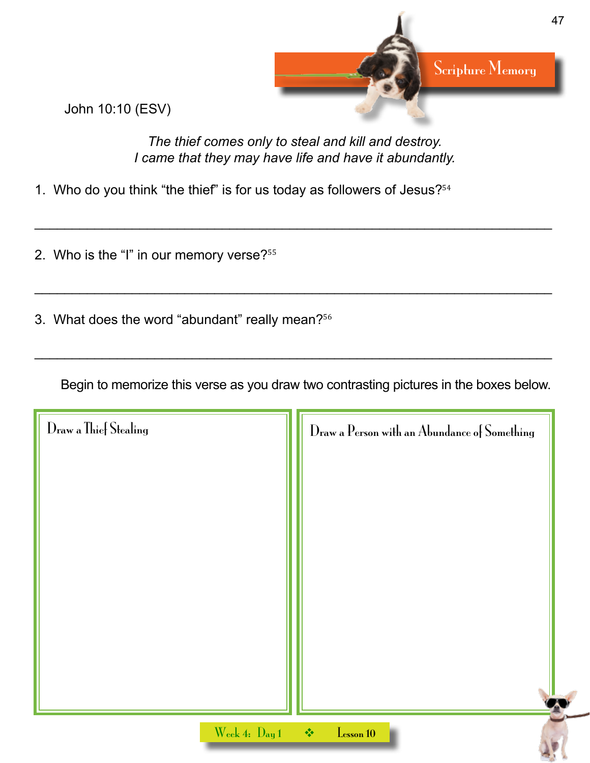John 10:10 (ESV)



*The thief comes only to steal and kill and destroy. I came that they may have life and have it abundantly.*

\_\_\_\_\_\_\_\_\_\_\_\_\_\_\_\_\_\_\_\_\_\_\_\_\_\_\_\_\_\_\_\_\_\_\_\_\_\_\_\_\_\_\_\_\_\_\_\_\_\_\_\_\_\_\_\_\_\_\_\_\_\_\_\_\_\_\_\_\_

\_\_\_\_\_\_\_\_\_\_\_\_\_\_\_\_\_\_\_\_\_\_\_\_\_\_\_\_\_\_\_\_\_\_\_\_\_\_\_\_\_\_\_\_\_\_\_\_\_\_\_\_\_\_\_\_\_\_\_\_\_\_\_\_\_\_\_\_\_

\_\_\_\_\_\_\_\_\_\_\_\_\_\_\_\_\_\_\_\_\_\_\_\_\_\_\_\_\_\_\_\_\_\_\_\_\_\_\_\_\_\_\_\_\_\_\_\_\_\_\_\_\_\_\_\_\_\_\_\_\_\_\_\_\_\_\_\_\_

1. Who do you think "the thief" is for us today as followers of Jesus?<sup>54</sup>

- 2. Who is the "I" in our memory verse?<sup>55</sup>
- 3. What does the word "abundant" really mean?<sup>56</sup>

Begin to memorize this verse as you draw two contrasting pictures in the boxes below.

| Draw a Thief Stealing | Draw a Person with an Abundance of Something |
|-----------------------|----------------------------------------------|
|                       |                                              |
|                       |                                              |
|                       |                                              |
|                       |                                              |
|                       |                                              |
|                       |                                              |
|                       |                                              |
| Week 4: Day 1         | Lesson 10<br>一条                              |